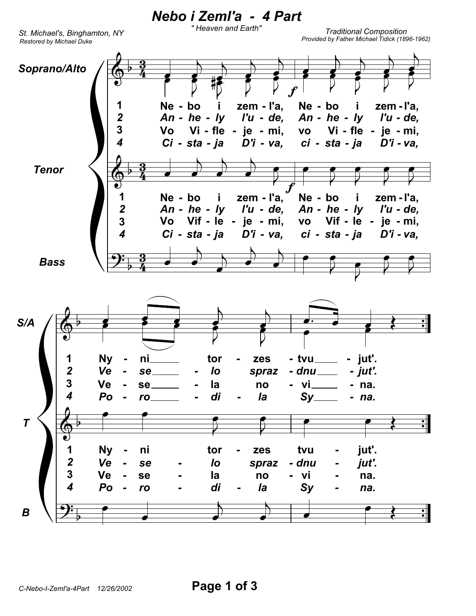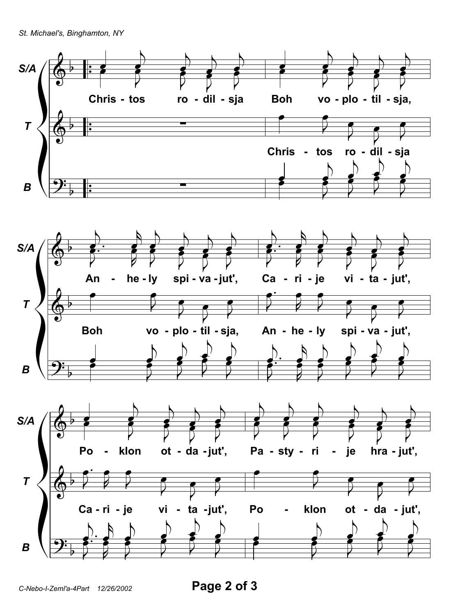St. Michael's, Binghamton, NY



Page 2 of 3